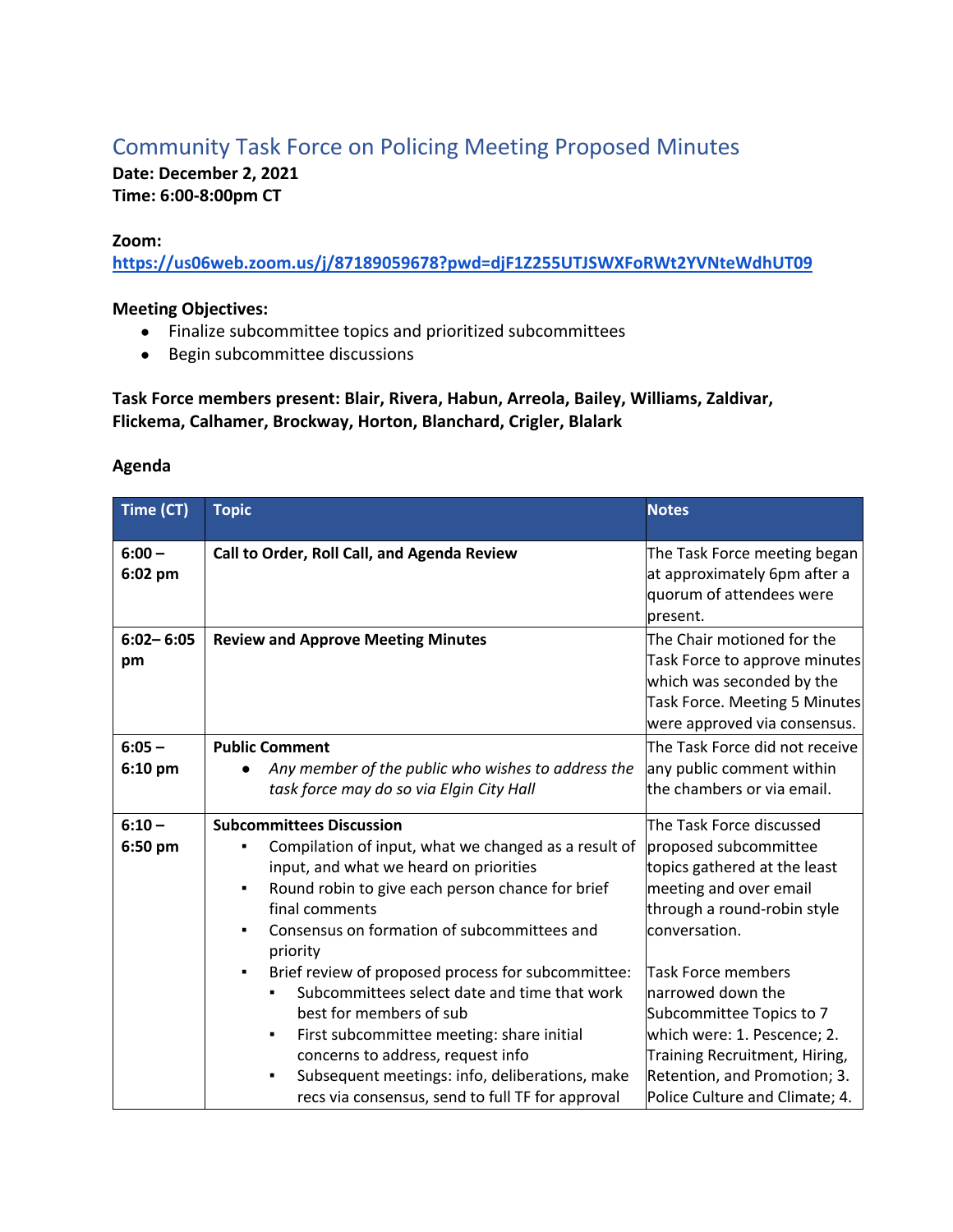# Community Task Force on Policing Meeting Proposed Minutes

**Date: December 2, 2021 Time: 6:00-8:00pm CT**

### **Zoom:**

**https://us06web.zoom.us/j/87189059678?pwd=djF1Z255UTJSWXFoRWt2YVNteWdhUT09**

#### **Meeting Objectives:**

- Finalize subcommittee topics and prioritized subcommittees
- Begin subcommittee discussions

## **Task Force members present: Blair, Rivera, Habun, Arreola, Bailey, Williams, Zaldivar, Flickema, Calhamer, Brockway, Horton, Blanchard, Crigler, Blalark**

#### **Agenda**

| Time (CT)           | <b>Topic</b>                                            | <b>Notes</b>                                                                                                                                              |
|---------------------|---------------------------------------------------------|-----------------------------------------------------------------------------------------------------------------------------------------------------------|
| $6:00 -$<br>6:02 pm | Call to Order, Roll Call, and Agenda Review             | The Task Force meeting began<br>at approximately 6pm after a<br>quorum of attendees were<br>present.                                                      |
| $6:02 - 6:05$<br>pm | <b>Review and Approve Meeting Minutes</b>               | The Chair motioned for the<br>Task Force to approve minutes<br>which was seconded by the<br>Task Force. Meeting 5 Minutes<br>were approved via consensus. |
| $6:05 -$            | <b>Public Comment</b>                                   | The Task Force did not receive                                                                                                                            |
| 6:10 pm             | Any member of the public who wishes to address the      | any public comment within                                                                                                                                 |
|                     | task force may do so via Elgin City Hall                | the chambers or via email.                                                                                                                                |
| $6:10 -$            | <b>Subcommittees Discussion</b>                         | The Task Force discussed                                                                                                                                  |
| 6:50 pm             | Compilation of input, what we changed as a result of    | proposed subcommittee                                                                                                                                     |
|                     | input, and what we heard on priorities                  | topics gathered at the least                                                                                                                              |
|                     | Round robin to give each person chance for brief<br>٠   | meeting and over email                                                                                                                                    |
|                     | final comments                                          | through a round-robin style                                                                                                                               |
|                     | Consensus on formation of subcommittees and<br>priority | conversation.                                                                                                                                             |
|                     | Brief review of proposed process for subcommittee:      | <b>Task Force members</b>                                                                                                                                 |
|                     | Subcommittees select date and time that work            | narrowed down the                                                                                                                                         |
|                     | best for members of sub                                 | Subcommittee Topics to 7                                                                                                                                  |
|                     | First subcommittee meeting: share initial<br>٠          | which were: 1. Pescence; 2.                                                                                                                               |
|                     | concerns to address, request info                       | Training Recruitment, Hiring,                                                                                                                             |
|                     | Subsequent meetings: info, deliberations, make          | Retention, and Promotion; 3.                                                                                                                              |
|                     | recs via consensus, send to full TF for approval        | Police Culture and Climate; 4.                                                                                                                            |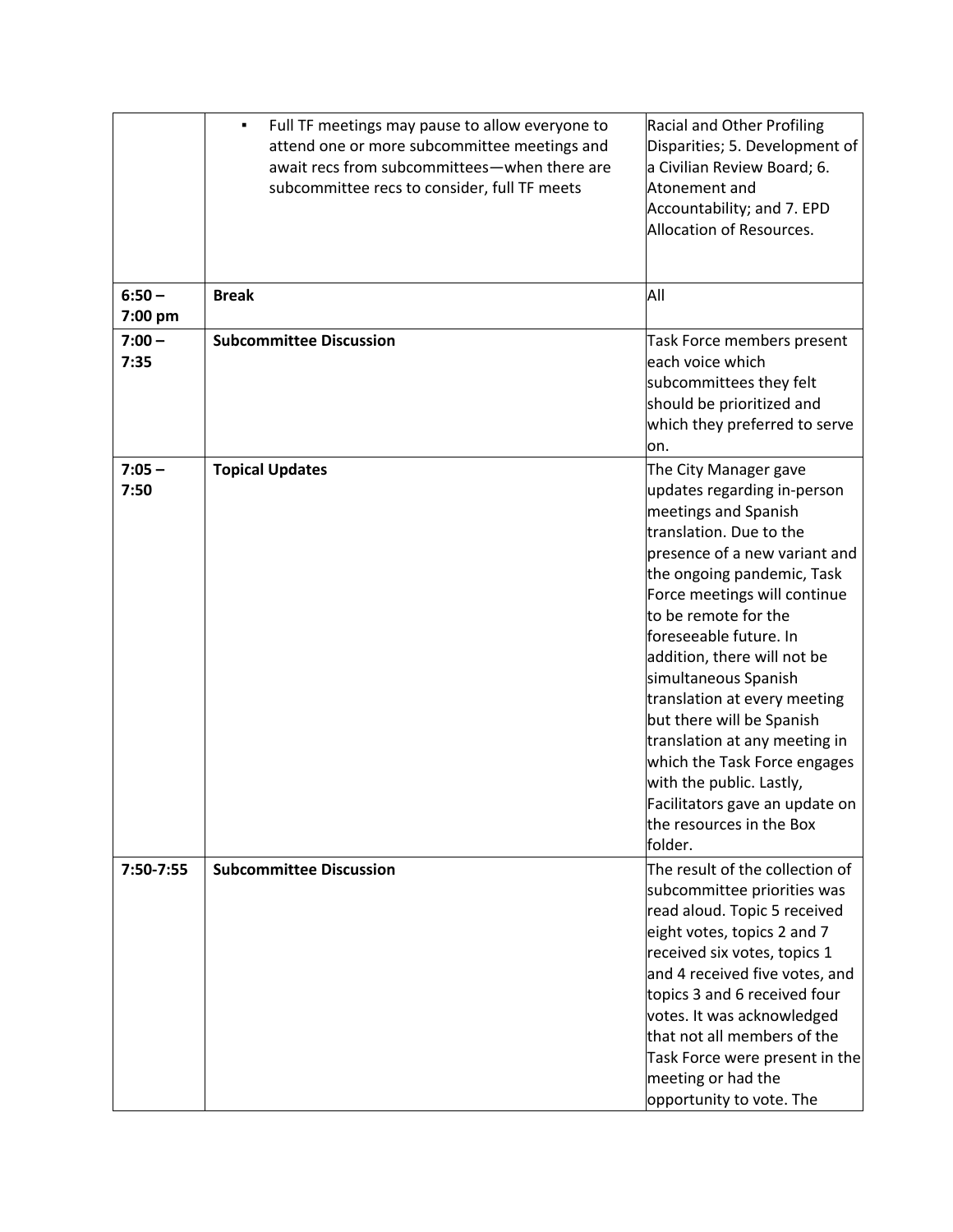|                     | Full TF meetings may pause to allow everyone to<br>٠<br>attend one or more subcommittee meetings and<br>await recs from subcommittees-when there are<br>subcommittee recs to consider, full TF meets | <b>Racial and Other Profiling</b><br>Disparities; 5. Development of<br>a Civilian Review Board; 6.<br>Atonement and<br>Accountability; and 7. EPD<br>Allocation of Resources.                                                                                                                                                                                                                                                                                                                                                                      |
|---------------------|------------------------------------------------------------------------------------------------------------------------------------------------------------------------------------------------------|----------------------------------------------------------------------------------------------------------------------------------------------------------------------------------------------------------------------------------------------------------------------------------------------------------------------------------------------------------------------------------------------------------------------------------------------------------------------------------------------------------------------------------------------------|
| $6:50 -$<br>7:00 pm | <b>Break</b>                                                                                                                                                                                         | All                                                                                                                                                                                                                                                                                                                                                                                                                                                                                                                                                |
| $7:00 -$<br>7:35    | <b>Subcommittee Discussion</b>                                                                                                                                                                       | Task Force members present<br>each voice which<br>subcommittees they felt<br>should be prioritized and<br>which they preferred to serve<br>on.                                                                                                                                                                                                                                                                                                                                                                                                     |
| $7:05 -$<br>7:50    | <b>Topical Updates</b>                                                                                                                                                                               | The City Manager gave<br>updates regarding in-person<br>meetings and Spanish<br>translation. Due to the<br>presence of a new variant and<br>the ongoing pandemic, Task<br>Force meetings will continue<br>to be remote for the<br>foreseeable future. In<br>addition, there will not be<br>simultaneous Spanish<br>translation at every meeting<br>but there will be Spanish<br>translation at any meeting in<br>which the Task Force engages<br>with the public. Lastly,<br>Facilitators gave an update on<br>the resources in the Box<br>folder. |
| 7:50-7:55           | <b>Subcommittee Discussion</b>                                                                                                                                                                       | The result of the collection of<br>subcommittee priorities was<br>read aloud. Topic 5 received<br>eight votes, topics 2 and 7<br>received six votes, topics 1<br>and 4 received five votes, and<br>topics 3 and 6 received four<br>votes. It was acknowledged<br>that not all members of the<br>Task Force were present in the<br>meeting or had the<br>opportunity to vote. The                                                                                                                                                                   |